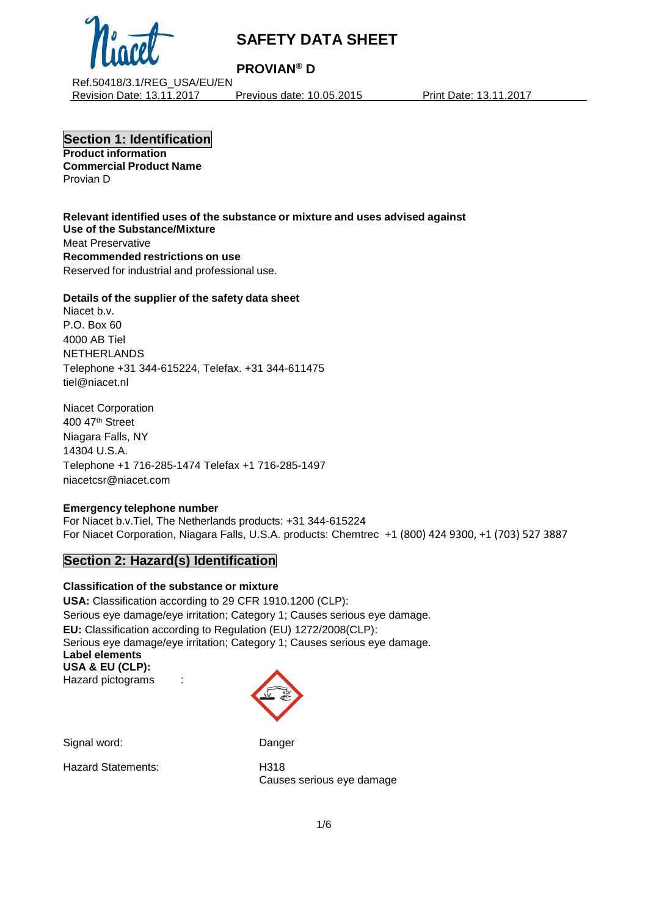

## **PROVIAN® D**

Ref.50418/3.1/REG\_USA/EU/EN Revision Date: 13.11.2017 Previous date: 10.05.2015 Print Date: 13.11.2017

**Section 1: Identification Product information Commercial Product Name**

Provian D

**Relevant identified uses of the substance or mixture and uses advised against Use of the Substance/Mixture** Meat Preservative **Recommended restrictions on use** Reserved for industrial and professional use.

## **Details of the supplier of the safety data sheet**

Niacet b.v. P.O. Box 60 4000 AB Tiel NETHERLANDS Telephone +31 344-615224, Telefax. +31 344-611475 tiel@niacet.nl

Niacet Corporation 400 47th Street Niagara Falls, NY 14304 U.S.A. Telephone +1 716-285-1474 Telefax +1 716-285-1497 [niacetcsr@niacet.com](mailto:niacetcsr@niacet.com)

## **Emergency telephone number**

For Niacet b.v.Tiel, The Netherlands products: +31 344-615224 For Niacet Corporation, Niagara Falls, U.S.A. products: Chemtrec +1 (800) 424 9300, +1 (703) 527 3887

## **Section 2: Hazard(s) Identification**

## **Classification of the substance or mixture**

**USA:** Classification according to 29 CFR 1910.1200 (CLP): Serious eye damage/eye irritation; Category 1; Causes serious eye damage. **EU:** Classification according to Regulation (EU) 1272/2008(CLP): Serious eye damage/eye irritation; Category 1; Causes serious eye damage. **Label elements USA & EU (CLP):** Hazard pictograms :



Signal word: Danger

Hazard Statements: H318

Causes serious eye damage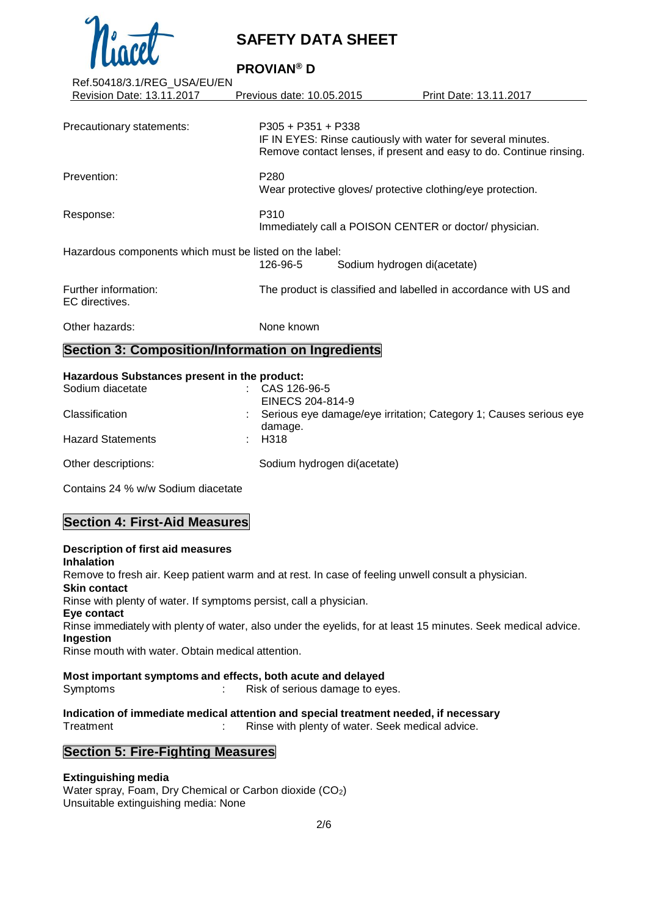

**PROVIAN® D**

| Ref.50418/3.1/REG_USA/EU/EN                             |                                                                                                                                                             |                                                                  |
|---------------------------------------------------------|-------------------------------------------------------------------------------------------------------------------------------------------------------------|------------------------------------------------------------------|
| Revision Date: 13.11.2017                               | Previous date: 10.05.2015                                                                                                                                   | Print Date: 13.11.2017                                           |
|                                                         |                                                                                                                                                             |                                                                  |
| Precautionary statements:                               | $P305 + P351 + P338$<br>IF IN EYES: Rinse cautiously with water for several minutes.<br>Remove contact lenses, if present and easy to do. Continue rinsing. |                                                                  |
| Prevention:                                             | P <sub>280</sub><br>Wear protective gloves/ protective clothing/eye protection.                                                                             |                                                                  |
| Response:                                               | P310                                                                                                                                                        | Immediately call a POISON CENTER or doctor/ physician.           |
| Hazardous components which must be listed on the label: | 126-96-5                                                                                                                                                    | Sodium hydrogen di(acetate)                                      |
| Further information:<br>EC directives.                  |                                                                                                                                                             | The product is classified and labelled in accordance with US and |
| Other hazards:                                          | None known                                                                                                                                                  |                                                                  |
| Section 3: Composition/Information on Ingredients       |                                                                                                                                                             |                                                                  |

#### **Hazardous Substances present in the product:**

| Sodium diacetate         | CAS 126-96-5<br><b>Contract Contract</b><br>EINECS 204-814-9                   |
|--------------------------|--------------------------------------------------------------------------------|
| Classification           | : Serious eye damage/eye irritation; Category 1; Causes serious eye<br>damage. |
| <b>Hazard Statements</b> | H318                                                                           |
| Other descriptions:      | Sodium hydrogen di(acetate)                                                    |

Contains 24 % w/w Sodium diacetate

## **Section 4: First-Aid Measures**

**Description of first aid measures Inhalation** Remove to fresh air. Keep patient warm and at rest. In case of feeling unwell consult a physician. **Skin contact** Rinse with plenty of water. If symptoms persist, call a physician. **Eye contact** Rinse immediately with plenty of water, also under the eyelids, for at least 15 minutes. Seek medical advice. **Ingestion** Rinse mouth with water. Obtain medical attention.

**Most important symptoms and effects, both acute and delayed** Symptoms : Risk of serious damage to eyes.

**Indication of immediate medical attention and special treatment needed, if necessary** Treatment : Rinse with plenty of water. Seek medical advice.

## **Section 5: Fire-Fighting Measures**

#### **Extinguishing media**

Water spray, Foam, Dry Chemical or Carbon dioxide (CO2) Unsuitable extinguishing media: None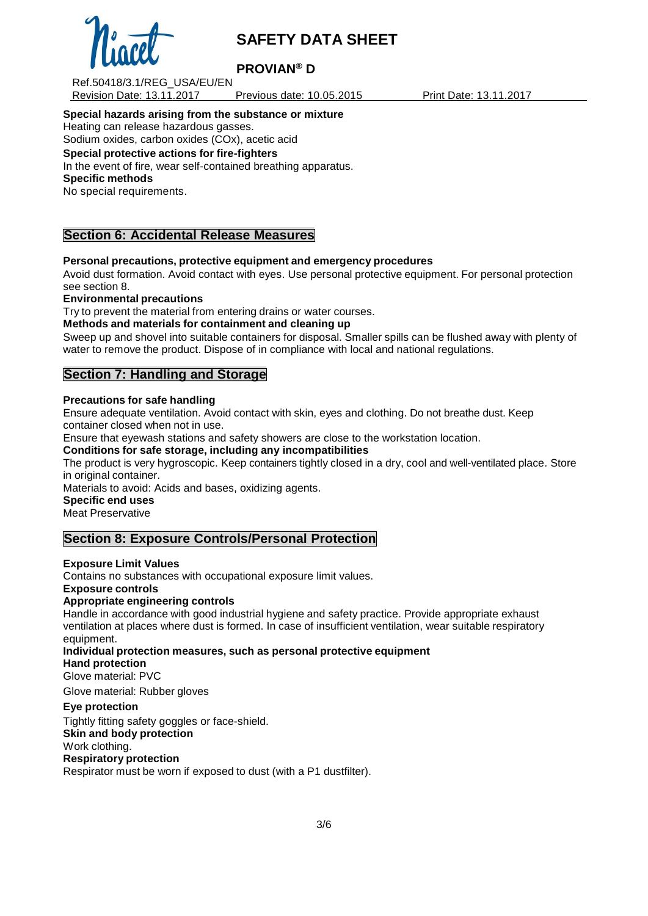

## **PROVIAN® D**

Ref.50418/3.1/REG\_USA/EU/EN Revision Date: 13.11.2017 Previous date: 10.05.2015 Print Date: 13.11.2017

#### **Special hazards arising from the substance or mixture**

Heating can release hazardous gasses.

# Sodium oxides, carbon oxides (COx), acetic acid

## **Special protective actions for fire-fighters**

In the event of fire, wear self-contained breathing apparatus. **Specific methods**

No special requirements.

## **Section 6: Accidental Release Measures**

## **Personal precautions, protective equipment and emergency procedures**

Avoid dust formation. Avoid contact with eyes. Use personal protective equipment. For personal protection see section 8.

#### **Environmental precautions**

Try to prevent the material from entering drains or water courses.

## **Methods and materials for containment and cleaning up**

Sweep up and shovel into suitable containers for disposal. Smaller spills can be flushed away with plenty of water to remove the product. Dispose of in compliance with local and national regulations.

## **Section 7: Handling and Storage**

#### **Precautions for safe handling**

Ensure adequate ventilation. Avoid contact with skin, eyes and clothing. Do not breathe dust. Keep container closed when not in use.

Ensure that eyewash stations and safety showers are close to the workstation location.

## **Conditions for safe storage, including any incompatibilities**

The product is very hygroscopic. Keep containers tightly closed in a dry, cool and well-ventilated place. Store in original container.

Materials to avoid: Acids and bases, oxidizing agents.

## **Specific end uses**

Meat Preservative

## **Section 8: Exposure Controls/Personal Protection**

## **Exposure Limit Values**

Contains no substances with occupational exposure limit values.

**Exposure controls**

## **Appropriate engineering controls**

Handle in accordance with good industrial hygiene and safety practice. Provide appropriate exhaust ventilation at places where dust is formed. In case of insufficient ventilation, wear suitable respiratory equipment.

**Individual protection measures, such as personal protective equipment**

**Hand protection**

Glove material: PVC

Glove material: Rubber gloves

## **Eye protection**

Tightly fitting safety goggles or face-shield. **Skin and body protection** Work clothing.

## **Respiratory protection**

Respirator must be worn if exposed to dust (with a P1 dustfilter).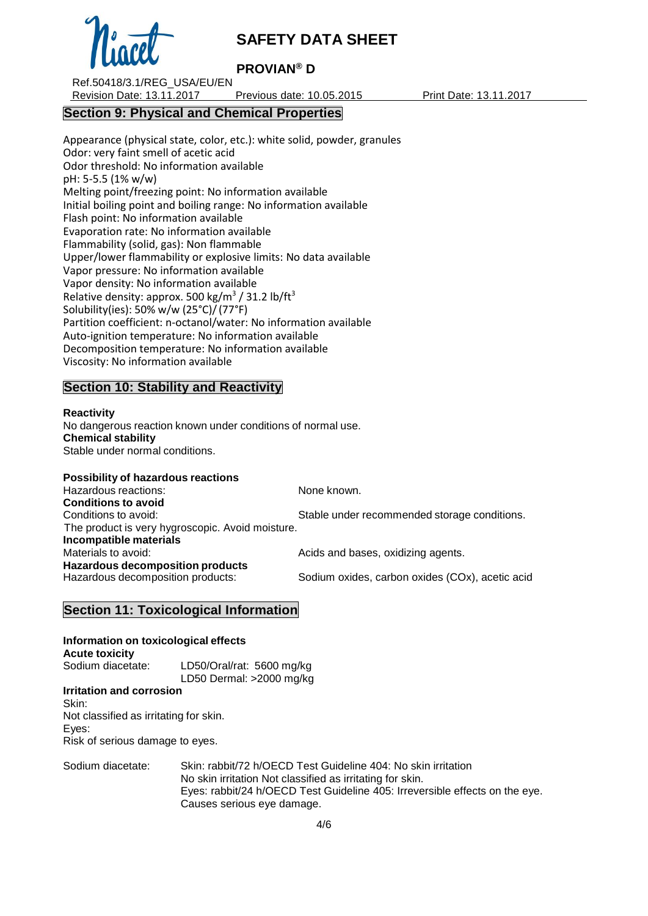

## **PROVIAN® D**

Ref.50418/3.1/REG\_USA/EU/EN Revision Date: 13.11.2017 Previous date: 10.05.2015 Print Date: 13.11.2017

## **Section 9: Physical and Chemical Properties**

Appearance (physical state, color, etc.): white solid, powder, granules Odor: very faint smell of acetic acid Odor threshold: No information available pH: 5-5.5 (1% w/w) Melting point/freezing point: No information available Initial boiling point and boiling range: No information available Flash point: No information available Evaporation rate: No information available Flammability (solid, gas): Non flammable Upper/lower flammability or explosive limits: No data available Vapor pressure: No information available Vapor density: No information available Relative density: approx. 500 kg/m<sup>3</sup> / 31.2 lb/ft<sup>3</sup> Solubility(ies): 50% w/w (25°C)/(77°F) Partition coefficient: n-octanol/water: No information available Auto-ignition temperature: No information available Decomposition temperature: No information available Viscosity: No information available

## **Section 10: Stability and Reactivity**

## **Reactivity**

No dangerous reaction known under conditions of normal use. **Chemical stability** Stable under normal conditions.

#### **Possibility of hazardous reactions**

Hazardous reactions: None known. **Conditions to avoid** Conditions to avoid: Stable under recommended storage conditions. The product is very hygroscopic. Avoid moisture. **Incompatible materials** Materials to avoid: Materials to avoid: Acids and bases, oxidizing agents. **Hazardous decomposition products** Sodium oxides, carbon oxides (COx), acetic acid

## **Section 11: Toxicological Information**

**Information on toxicological effects Acute toxicity** Sodium diacetate: LD50/Oral/rat: 5600 mg/kg LD50 Dermal: >2000 mg/kg

#### **Irritation and corrosion** Skin: Not classified as irritating for skin. Eyes: Risk of serious damage to eyes.

Sodium diacetate: Skin: rabbit/72 h/OECD Test Guideline 404: No skin irritation No skin irritation Not classified as irritating for skin. Eyes: rabbit/24 h/OECD Test Guideline 405: Irreversible effects on the eye. Causes serious eye damage.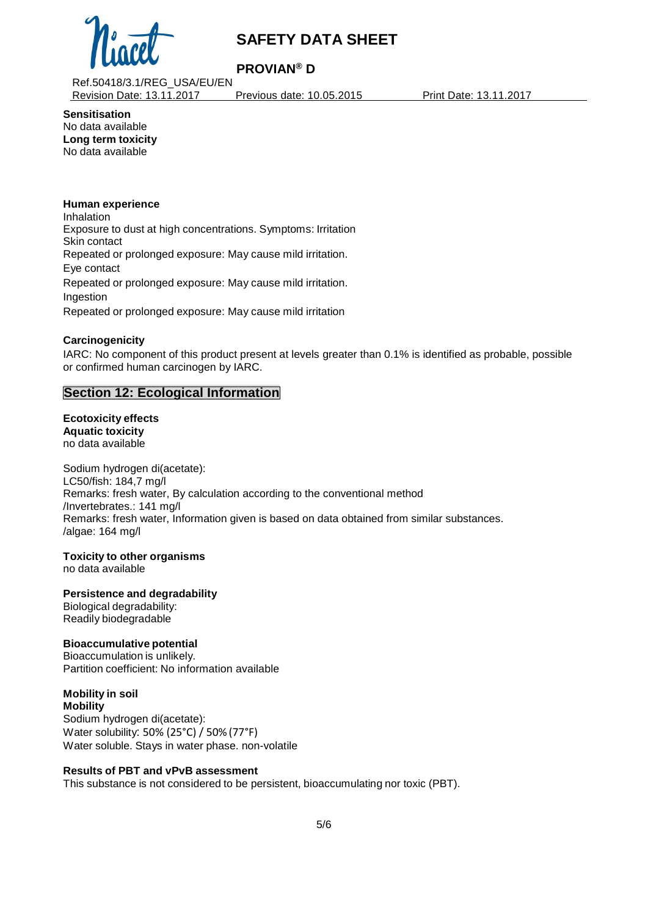

## **PROVIAN® D**

Ref.50418/3.1/REG\_USA/EU/EN Revision Date: 13.11.2017 Previous date: 10.05.2015 Print Date: 13.11.2017

**Sensitisation** No data available **Long term toxicity** No data available

#### **Human experience**

Inhalation Exposure to dust at high concentrations. Symptoms: Irritation Skin contact Repeated or prolonged exposure: May cause mild irritation. Eye contact Repeated or prolonged exposure: May cause mild irritation. Ingestion Repeated or prolonged exposure: May cause mild irritation

## **Carcinogenicity**

IARC: No component of this product present at levels greater than 0.1% is identified as probable, possible or confirmed human carcinogen by IARC.

## **Section 12: Ecological Information**

## **Ecotoxicity effects**

**Aquatic toxicity** no data available

Sodium hydrogen di(acetate): LC50/fish: 184,7 mg/l Remarks: fresh water, By calculation according to the conventional method /Invertebrates.: 141 mg/l Remarks: fresh water, Information given is based on data obtained from similar substances. /algae: 164 mg/l

## **Toxicity to other organisms**

no data available

## **Persistence and degradability**

Biological degradability: Readily biodegradable

## **Bioaccumulative potential**

Bioaccumulation is unlikely. Partition coefficient: No information available

#### **Mobility in soil Mobility**

Sodium hydrogen di(acetate): Water solubility: 50% (25°C) / 50% (77°F) Water soluble. Stays in water phase. non-volatile

## **Results of PBT and vPvB assessment**

This substance is not considered to be persistent, bioaccumulating nor toxic (PBT).